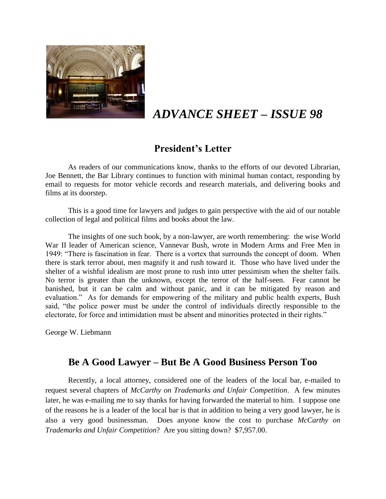

# *ADVANCE SHEET – ISSUE 98*

## **President's Letter**

As readers of our communications know, thanks to the efforts of our devoted Librarian, Joe Bennett, the Bar Library continues to function with minimal human contact, responding by email to requests for motor vehicle records and research materials, and delivering books and films at its doorstep.

This is a good time for lawyers and judges to gain perspective with the aid of our notable collection of legal and political films and books about the law.

The insights of one such book, by a non-lawyer, are worth remembering: the wise World War II leader of American science, Vannevar Bush, wrote in Modern Arms and Free Men in 1949: "There is fascination in fear. There is a vortex that surrounds the concept of doom. When there is stark terror about, men magnify it and rush toward it. Those who have lived under the shelter of a wishful idealism are most prone to rush into utter pessimism when the shelter fails. No terror is greater than the unknown, except the terror of the half-seen. Fear cannot be banished, but it can be calm and without panic, and it can be mitigated by reason and evaluation." As for demands for empowering of the military and public health experts, Bush said, "the police power must be under the control of individuals directly responsible to the electorate, for force and intimidation must be absent and minorities protected in their rights."

George W. Liebmann

### **Be A Good Lawyer – But Be A Good Business Person Too**

Recently, a local attorney, considered one of the leaders of the local bar, e-mailed to request several chapters of *McCarthy on Trademarks and Unfair Competition*. A few minutes later, he was e-mailing me to say thanks for having forwarded the material to him. I suppose one of the reasons he is a leader of the local bar is that in addition to being a very good lawyer, he is also a very good businessman. Does anyone know the cost to purchase *McCarthy on Trademarks and Unfair Competition*? Are you sitting down? \$7,957.00.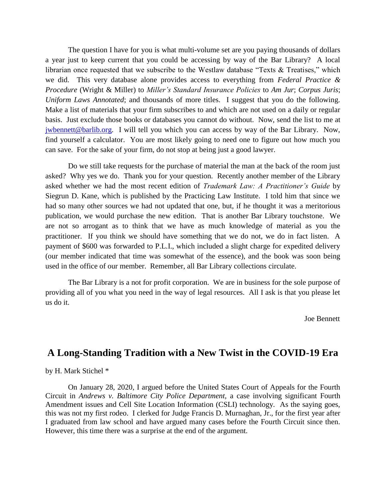The question I have for you is what multi-volume set are you paying thousands of dollars a year just to keep current that you could be accessing by way of the Bar Library? A local librarian once requested that we subscribe to the Westlaw database "Texts & Treatises," which we did. This very database alone provides access to everything from *Federal Practice & Procedure* (Wright & Miller) to *Miller's Standard Insurance Policies* to *Am Jur*; *Corpus Juris*; *Uniform Laws Annotated*; and thousands of more titles. I suggest that you do the following. Make a list of materials that your firm subscribes to and which are not used on a daily or regular basis. Just exclude those books or databases you cannot do without. Now, send the list to me at [jwbennett@barlib.org.](mailto:jwbennett@barlib.org) I will tell you which you can access by way of the Bar Library. Now, find yourself a calculator. You are most likely going to need one to figure out how much you can save. For the sake of your firm, do not stop at being just a good lawyer.

Do we still take requests for the purchase of material the man at the back of the room just asked? Why yes we do. Thank you for your question. Recently another member of the Library asked whether we had the most recent edition of *Trademark Law: A Practitioner's Guide* by Siegrun D. Kane, which is published by the Practicing Law Institute. I told him that since we had so many other sources we had not updated that one, but, if he thought it was a meritorious publication, we would purchase the new edition. That is another Bar Library touchstone. We are not so arrogant as to think that we have as much knowledge of material as you the practitioner. If you think we should have something that we do not, we do in fact listen. A payment of \$600 was forwarded to P.L.I., which included a slight charge for expedited delivery (our member indicated that time was somewhat of the essence), and the book was soon being used in the office of our member. Remember, all Bar Library collections circulate.

The Bar Library is a not for profit corporation. We are in business for the sole purpose of providing all of you what you need in the way of legal resources. All I ask is that you please let us do it.

Joe Bennett

#### **A Long-Standing Tradition with a New Twist in the COVID-19 Era**

by H. Mark Stichel \*

On January 28, 2020, I argued before the United States Court of Appeals for the Fourth Circuit in *Andrews v. Baltimore City Police Department,* a case involving significant Fourth Amendment issues and Cell Site Location Information (CSLI) technology. As the saying goes, this was not my first rodeo. I clerked for Judge Francis D. Murnaghan, Jr., for the first year after I graduated from law school and have argued many cases before the Fourth Circuit since then. However, this time there was a surprise at the end of the argument.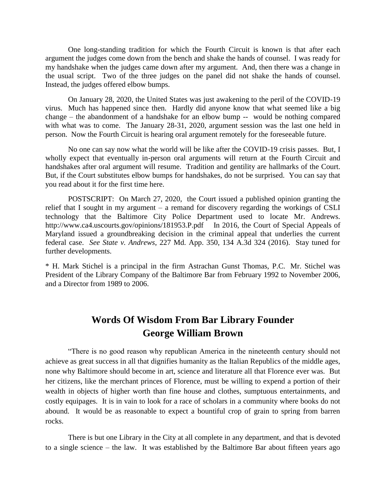One long-standing tradition for which the Fourth Circuit is known is that after each argument the judges come down from the bench and shake the hands of counsel. I was ready for my handshake when the judges came down after my argument. And, then there was a change in the usual script. Two of the three judges on the panel did not shake the hands of counsel. Instead, the judges offered elbow bumps.

On January 28, 2020, the United States was just awakening to the peril of the COVID-19 virus. Much has happened since then. Hardly did anyone know that what seemed like a big change – the abandonment of a handshake for an elbow bump -- would be nothing compared with what was to come. The January 28-31, 2020, argument session was the last one held in person. Now the Fourth Circuit is hearing oral argument remotely for the foreseeable future.

No one can say now what the world will be like after the COVID-19 crisis passes. But, I wholly expect that eventually in-person oral arguments will return at the Fourth Circuit and handshakes after oral argument will resume. Tradition and gentility are hallmarks of the Court. But, if the Court substitutes elbow bumps for handshakes, do not be surprised. You can say that you read about it for the first time here.

POSTSCRIPT: On March 27, 2020, the Court issued a published opinion granting the relief that I sought in my argument – a remand for discovery regarding the workings of CSLI technology that the Baltimore City Police Department used to locate Mr. Andrews. http://www.ca4.uscourts.gov/opinions/181953.P.pdf In 2016, the Court of Special Appeals of Maryland issued a groundbreaking decision in the criminal appeal that underlies the current federal case. *See State v. Andrews*, 227 Md. App. 350, 134 A.3d 324 (2016). Stay tuned for further developments.

\* H. Mark Stichel is a principal in the firm Astrachan Gunst Thomas, P.C. Mr. Stichel was President of the Library Company of the Baltimore Bar from February 1992 to November 2006, and a Director from 1989 to 2006.

## **Words Of Wisdom From Bar Library Founder George William Brown**

"There is no good reason why republican America in the nineteenth century should not achieve as great success in all that dignifies humanity as the Italian Republics of the middle ages, none why Baltimore should become in art, science and literature all that Florence ever was. But her citizens, like the merchant princes of Florence, must be willing to expend a portion of their wealth in objects of higher worth than fine house and clothes, sumptuous entertainments, and costly equipages. It is in vain to look for a race of scholars in a community where books do not abound. It would be as reasonable to expect a bountiful crop of grain to spring from barren rocks.

There is but one Library in the City at all complete in any department, and that is devoted to a single science – the law. It was established by the Baltimore Bar about fifteen years ago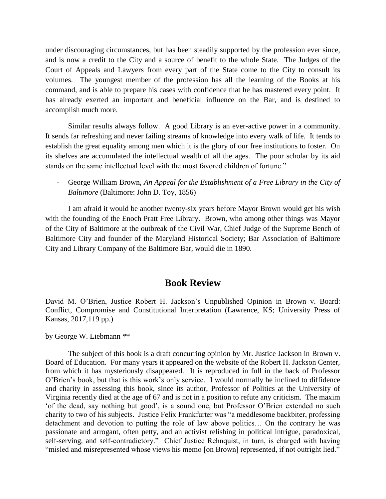under discouraging circumstances, but has been steadily supported by the profession ever since, and is now a credit to the City and a source of benefit to the whole State. The Judges of the Court of Appeals and Lawyers from every part of the State come to the City to consult its volumes. The youngest member of the profession has all the learning of the Books at his command, and is able to prepare his cases with confidence that he has mastered every point. It has already exerted an important and beneficial influence on the Bar, and is destined to accomplish much more.

Similar results always follow. A good Library is an ever-active power in a community. It sends far refreshing and never failing streams of knowledge into every walk of life. It tends to establish the great equality among men which it is the glory of our free institutions to foster. On its shelves are accumulated the intellectual wealth of all the ages. The poor scholar by its aid stands on the same intellectual level with the most favored children of fortune."

- George William Brown, *An Appeal for the Establishment of a Free Library in the City of Baltimore* (Baltimore: John D. Toy, 1856)

I am afraid it would be another twenty-six years before Mayor Brown would get his wish with the founding of the Enoch Pratt Free Library. Brown, who among other things was Mayor of the City of Baltimore at the outbreak of the Civil War, Chief Judge of the Supreme Bench of Baltimore City and founder of the Maryland Historical Society; Bar Association of Baltimore City and Library Company of the Baltimore Bar, would die in 1890.

#### **Book Review**

David M. O'Brien, Justice Robert H. Jackson's Unpublished Opinion in Brown v. Board: Conflict, Compromise and Constitutional Interpretation (Lawrence, KS; University Press of Kansas, 2017,119 pp.)

by George W. Liebmann \*\*

The subject of this book is a draft concurring opinion by Mr. Justice Jackson in Brown v. Board of Education. For many years it appeared on the website of the Robert H. Jackson Center, from which it has mysteriously disappeared. It is reproduced in full in the back of Professor O'Brien's book, but that is this work's only service. I would normally be inclined to diffidence and charity in assessing this book, since its author, Professor of Politics at the University of Virginia recently died at the age of 67 and is not in a position to refute any criticism. The maxim 'of the dead, say nothing but good', is a sound one, but Professor O'Brien extended no such charity to two of his subjects. Justice Felix Frankfurter was "a meddlesome backbiter, professing detachment and devotion to putting the role of law above politics… On the contrary he was passionate and arrogant, often petty, and an activist relishing in political intrigue, paradoxical, self-serving, and self-contradictory." Chief Justice Rehnquist, in turn, is charged with having "misled and misrepresented whose views his memo [on Brown] represented, if not outright lied."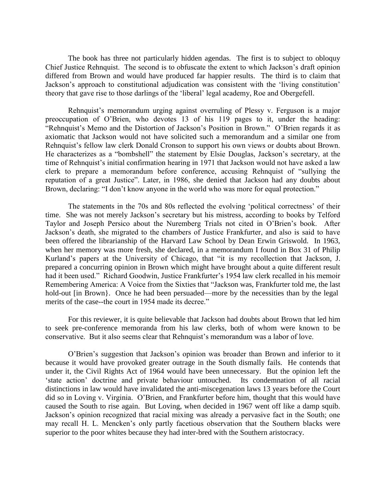The book has three not particularly hidden agendas. The first is to subject to obloquy Chief Justice Rehnquist. The second is to obfuscate the extent to which Jackson's draft opinion differed from Brown and would have produced far happier results. The third is to claim that Jackson's approach to constitutional adjudication was consistent with the 'living constitution' theory that gave rise to those darlings of the 'liberal' legal academy, Roe and Obergefell.

Rehnquist's memorandum urging against overruling of Plessy v. Ferguson is a major preoccupation of O'Brien, who devotes 13 of his 119 pages to it, under the heading: "Rehnquist's Memo and the Distortion of Jackson's Position in Brown." O'Brien regards it as axiomatic that Jackson would not have solicited such a memorandum and a similar one from Rehnquist's fellow law clerk Donald Cronson to support his own views or doubts about Brown. He characterizes as a "bombshell" the statement by Elsie Douglas, Jackson's secretary, at the time of Rehnquist's initial confirmation hearing in 1971 that Jackson would not have asked a law clerk to prepare a memorandum before conference, accusing Rehnquist of "sullying the reputation of a great Justice". Later, in 1986, she denied that Jackson had any doubts about Brown, declaring: "I don't know anyone in the world who was more for equal protection."

The statements in the 70s and 80s reflected the evolving 'political correctness' of their time. She was not merely Jackson's secretary but his mistress, according to books by Telford Taylor and Joseph Persico about the Nuremberg Trials not cited in O'Brien's book. After Jackson's death, she migrated to the chambers of Justice Frankfurter, and also is said to have been offered the librarianship of the Harvard Law School by Dean Erwin Griswold. In 1963, when her memory was more fresh, she declared, in a memorandum I found in Box 31 of Philip Kurland's papers at the University of Chicago, that "it is my recollection that Jackson, J. prepared a concurring opinion in Brown which might have brought about a quite different result had it been used." Richard Goodwin, Justice Frankfurter's 1954 law clerk recalled in his memoir Remembering America: A Voice from the Sixties that "Jackson was, Frankfurter told me, the last hold-out [in Brown]. Once he had been persuaded—more by the necessities than by the legal merits of the case--the court in 1954 made its decree."

For this reviewer, it is quite believable that Jackson had doubts about Brown that led him to seek pre-conference memoranda from his law clerks, both of whom were known to be conservative. But it also seems clear that Rehnquist's memorandum was a labor of love.

O'Brien's suggestion that Jackson's opinion was broader than Brown and inferior to it because it would have provoked greater outrage in the South dismally fails. He contends that under it, the Civil Rights Act of 1964 would have been unnecessary. But the opinion left the 'state action' doctrine and private behaviour untouched. Its condemnation of all racial distinctions in law would have invalidated the anti-miscegenation laws 13 years before the Court did so in Loving v. Virginia. O'Brien, and Frankfurter before him, thought that this would have caused the South to rise again. But Loving, when decided in 1967 went off like a damp squib. Jackson's opinion recognized that racial mixing was already a pervasive fact in the South; one may recall H. L. Mencken's only partly facetious observation that the Southern blacks were superior to the poor whites because they had inter-bred with the Southern aristocracy.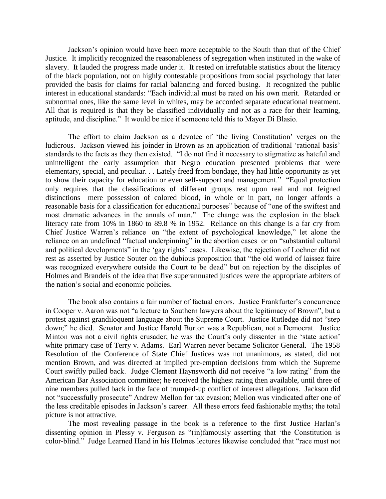Jackson's opinion would have been more acceptable to the South than that of the Chief Justice. It implicitly recognized the reasonableness of segregation when instituted in the wake of slavery. It lauded the progress made under it. It rested on irrefutable statistics about the literacy of the black population, not on highly contestable propositions from social psychology that later provided the basis for claims for racial balancing and forced busing. It recognized the public interest in educational standards: "Each individual must be rated on his own merit. Retarded or subnormal ones, like the same level in whites, may be accorded separate educational treatment. All that is required is that they be classified individually and not as a race for their learning, aptitude, and discipline." It would be nice if someone told this to Mayor Di Blasio.

The effort to claim Jackson as a devotee of 'the living Constitution' verges on the ludicrous. Jackson viewed his joinder in Brown as an application of traditional 'rational basis' standards to the facts as they then existed. "I do not find it necessary to stigmatize as hateful and unintelligent the early assumption that Negro education presented problems that were elementary, special, and peculiar. . . Lately freed from bondage, they had little opportunity as yet to show their capacity for education or even self-support and management." "Equal protection only requires that the classifications of different groups rest upon real and not feigned distinctions—mere possession of colored blood, in whole or in part, no longer affords a reasonable basis for a classification for educational purposes" because of "one of the swiftest and most dramatic advances in the annals of man." The change was the explosion in the black literacy rate from 10% in 1860 to 89.8 % in 1952. Reliance on this change is a far cry from Chief Justice Warren's reliance on "the extent of psychological knowledge," let alone the reliance on an undefined "factual underpinning" in the abortion cases or on "substantial cultural and political developments" in the 'gay rights' cases. Likewise, the rejection of Lochner did not rest as asserted by Justice Souter on the dubious proposition that "the old world of laissez faire was recognized everywhere outside the Court to be dead" but on rejection by the disciples of Holmes and Brandeis of the idea that five superannuated justices were the appropriate arbiters of the nation's social and economic policies.

The book also contains a fair number of factual errors. Justice Frankfurter's concurrence in Cooper v. Aaron was not "a lecture to Southern lawyers about the legitimacy of Brown", but a protest against grandiloquent language about the Supreme Court. Justice Rutledge did not "step down;" he died. Senator and Justice Harold Burton was a Republican, not a Democrat. Justice Minton was not a civil rights crusader; he was the Court's only dissenter in the 'state action' white primary case of Terry v. Adams. Earl Warren never became Solicitor General. The 1958 Resolution of the Conference of State Chief Justices was not unanimous, as stated, did not mention Brown, and was directed at implied pre-emption decisions from which the Supreme Court swiftly pulled back. Judge Clement Haynsworth did not receive "a low rating" from the American Bar Association committee; he received the highest rating then available, until three of nine members pulled back in the face of trumped-up conflict of interest allegations. Jackson did not "successfully prosecute" Andrew Mellon for tax evasion; Mellon was vindicated after one of the less creditable episodes in Jackson's career. All these errors feed fashionable myths; the total picture is not attractive.

The most revealing passage in the book is a reference to the first Justice Harlan's dissenting opinion in Plessy v. Ferguson as "(in)famously asserting that 'the Constitution is color-blind." Judge Learned Hand in his Holmes lectures likewise concluded that "race must not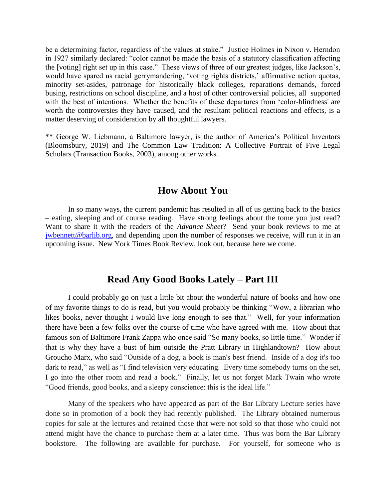be a determining factor, regardless of the values at stake." Justice Holmes in Nixon v. Herndon in 1927 similarly declared: "color cannot be made the basis of a statutory classification affecting the [voting] right set up in this case." These views of three of our greatest judges, like Jackson's, would have spared us racial gerrymandering, 'voting rights districts,' affirmative action quotas, minority set-asides, patronage for historically black colleges, reparations demands, forced busing, restrictions on school discipline, and a host of other controversial policies, all supported with the best of intentions. Whether the benefits of these departures from 'color-blindness' are worth the controversies they have caused, and the resultant political reactions and effects, is a matter deserving of consideration by all thoughtful lawyers.

\*\* George W. Liebmann, a Baltimore lawyer, is the author of America's Political Inventors (Bloomsbury, 2019) and The Common Law Tradition: A Collective Portrait of Five Legal Scholars (Transaction Books, 2003), among other works.

#### **How About You**

In so many ways, the current pandemic has resulted in all of us getting back to the basics – eating, sleeping and of course reading. Have strong feelings about the tome you just read? Want to share it with the readers of the *Advance Sheet*? Send your book reviews to me at [jwbennett@barlib.org,](mailto:jwbennett@barlib.org) and depending upon the number of responses we receive, will run it in an upcoming issue. New York Times Book Review, look out, because here we come.

#### **Read Any Good Books Lately – Part III**

I could probably go on just a little bit about the wonderful nature of books and how one of my favorite things to do is read, but you would probably be thinking "Wow, a librarian who likes books, never thought I would live long enough to see that." Well, for your information there have been a few folks over the course of time who have agreed with me. How about that famous son of Baltimore Frank Zappa who once said "So many books, so little time." Wonder if that is why they have a bust of him outside the Pratt Library in Highlandtown? How about Groucho Marx, who said "Outside of a dog, a book is man's best friend. Inside of a dog it's too dark to read," as well as "I find television very educating. Every time somebody turns on the set, I go into the other room and read a book." Finally, let us not forget Mark Twain who wrote "Good friends, good books, and a sleepy conscience: this is the ideal life."

Many of the speakers who have appeared as part of the Bar Library Lecture series have done so in promotion of a book they had recently published. The Library obtained numerous copies for sale at the lectures and retained those that were not sold so that those who could not attend might have the chance to purchase them at a later time. Thus was born the Bar Library bookstore. The following are available for purchase. For yourself, for someone who is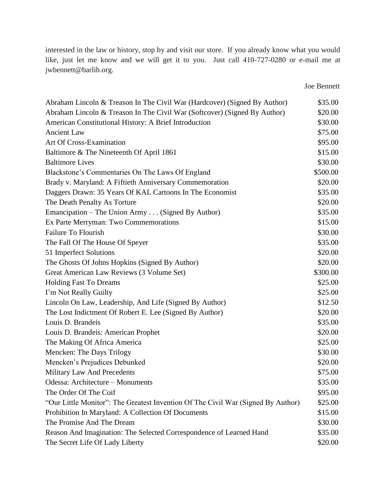interested in the law or history, stop by and visit our store. If you already know what you would like, just let me know and we will get it to you. Just call 410-727-0280 or e-mail me at jwbennett@barlib.org.

Joe Bennett

| Abraham Lincoln & Treason In The Civil War (Hardcover) (Signed By Author)        | \$35.00  |
|----------------------------------------------------------------------------------|----------|
| Abraham Lincoln & Treason In The Civil War (Softcover) (Signed By Author)        | \$20.00  |
| American Constitutional History: A Brief Introduction                            | \$30.00  |
| <b>Ancient Law</b>                                                               | \$75.00  |
| Art Of Cross-Examination                                                         | \$95.00  |
| Baltimore & The Nineteenth Of April 1861                                         | \$15.00  |
| <b>Baltimore Lives</b>                                                           | \$30.00  |
| Blackstone's Commentaries On The Laws Of England                                 | \$500.00 |
| Brady v. Maryland: A Fiftieth Anniversary Commemoration                          | \$20.00  |
| Daggers Drawn: 35 Years Of KAL Cartoons In The Economist                         | \$35.00  |
| The Death Penalty As Torture                                                     | \$20.00  |
| Emancipation – The Union Army (Signed By Author)                                 | \$35.00  |
| Ex Parte Merryman: Two Commemorations                                            | \$15.00  |
| <b>Failure To Flourish</b>                                                       | \$30.00  |
| The Fall Of The House Of Speyer                                                  | \$35.00  |
| 51 Imperfect Solutions                                                           | \$20.00  |
| The Ghosts Of Johns Hopkins (Signed By Author)                                   | \$20.00  |
| Great American Law Reviews (3 Volume Set)                                        | \$300.00 |
| <b>Holding Fast To Dreams</b>                                                    | \$25.00  |
| I'm Not Really Guilty                                                            | \$25.00  |
| Lincoln On Law, Leadership, And Life (Signed By Author)                          | \$12.50  |
| The Lost Indictment Of Robert E. Lee (Signed By Author)                          | \$20.00  |
| Louis D. Brandeis                                                                | \$35.00  |
| Louis D. Brandeis: American Prophet                                              | \$20.00  |
| The Making Of Africa America                                                     | \$25.00  |
| Mencken: The Days Trilogy                                                        | \$30.00  |
| Mencken's Prejudices Debunked                                                    | \$20.00  |
| Military Law And Precedents                                                      | \$75.00  |
| Odessa: Architecture - Monuments                                                 | \$35.00  |
| The Order Of The Coif                                                            | \$95.00  |
| "Our Little Monitor": The Greatest Invention Of The Civil War (Signed By Author) | \$25.00  |
| Prohibition In Maryland: A Collection Of Documents                               | \$15.00  |
| The Promise And The Dream                                                        | \$30.00  |
| Reason And Imagination: The Selected Correspondence of Learned Hand              | \$35.00  |
| The Secret Life Of Lady Liberty                                                  | \$20.00  |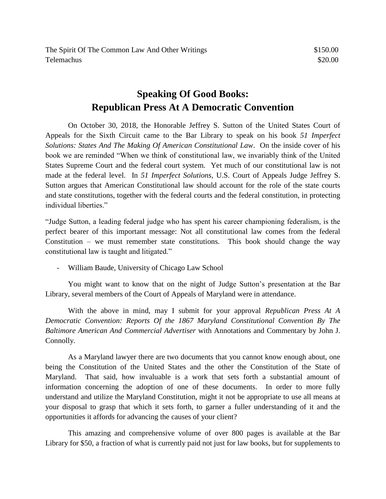## **Speaking Of Good Books: Republican Press At A Democratic Convention**

On October 30, 2018, the Honorable Jeffrey S. Sutton of the United States Court of Appeals for the Sixth Circuit came to the Bar Library to speak on his book *51 Imperfect Solutions: States And The Making Of American Constitutional Law*. On the inside cover of his book we are reminded "When we think of constitutional law, we invariably think of the United States Supreme Court and the federal court system. Yet much of our constitutional law is not made at the federal level. In *51 Imperfect Solutions*, U.S. Court of Appeals Judge Jeffrey S. Sutton argues that American Constitutional law should account for the role of the state courts and state constitutions, together with the federal courts and the federal constitution, in protecting individual liberties."

"Judge Sutton, a leading federal judge who has spent his career championing federalism, is the perfect bearer of this important message: Not all constitutional law comes from the federal Constitution – we must remember state constitutions. This book should change the way constitutional law is taught and litigated."

- William Baude, University of Chicago Law School

You might want to know that on the night of Judge Sutton's presentation at the Bar Library, several members of the Court of Appeals of Maryland were in attendance.

With the above in mind, may I submit for your approval *Republican Press At A Democratic Convention: Reports Of the 1867 Maryland Constitutional Convention By The Baltimore American And Commercial Advertiser* with Annotations and Commentary by John J. Connolly.

As a Maryland lawyer there are two documents that you cannot know enough about, one being the Constitution of the United States and the other the Constitution of the State of Maryland. That said, how invaluable is a work that sets forth a substantial amount of information concerning the adoption of one of these documents. In order to more fully understand and utilize the Maryland Constitution, might it not be appropriate to use all means at your disposal to grasp that which it sets forth, to garner a fuller understanding of it and the opportunities it affords for advancing the causes of your client?

This amazing and comprehensive volume of over 800 pages is available at the Bar Library for \$50, a fraction of what is currently paid not just for law books, but for supplements to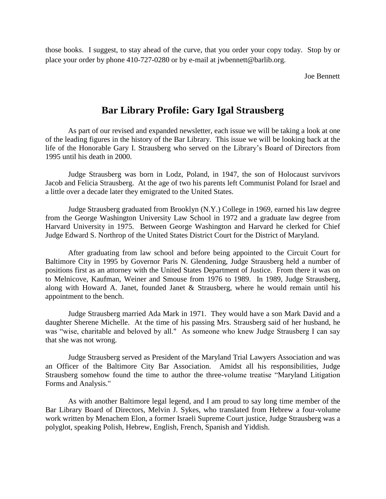those books. I suggest, to stay ahead of the curve, that you order your copy today. Stop by or place your order by phone 410-727-0280 or by e-mail at jwbennett@barlib.org.

Joe Bennett

#### **Bar Library Profile: Gary Igal Strausberg**

As part of our revised and expanded newsletter, each issue we will be taking a look at one of the leading figures in the history of the Bar Library. This issue we will be looking back at the life of the Honorable Gary I. Strausberg who served on the Library's Board of Directors from 1995 until his death in 2000.

Judge Strausberg was born in Lodz, Poland, in 1947, the son of Holocaust survivors Jacob and Felicia Strausberg. At the age of two his parents left Communist Poland for Israel and a little over a decade later they emigrated to the United States.

Judge Strausberg graduated from Brooklyn (N.Y.) College in 1969, earned his law degree from the George Washington University Law School in 1972 and a graduate law degree from Harvard University in 1975. Between George Washington and Harvard he clerked for Chief Judge Edward S. Northrop of the United States District Court for the District of Maryland.

After graduating from law school and before being appointed to the Circuit Court for Baltimore City in 1995 by Governor Paris N. Glendening, Judge Strausberg held a number of positions first as an attorney with the United States Department of Justice. From there it was on to Melnicove, Kaufman, Weiner and Smouse from 1976 to 1989. In 1989, Judge Strausberg, along with Howard A. Janet, founded Janet & Strausberg, where he would remain until his appointment to the bench.

Judge Strausberg married Ada Mark in 1971. They would have a son Mark David and a daughter Sherene Michelle. At the time of his passing Mrs. Strausberg said of her husband, he was "wise, charitable and beloved by all." As someone who knew Judge Strausberg I can say that she was not wrong.

Judge Strausberg served as President of the Maryland Trial Lawyers Association and was an Officer of the Baltimore City Bar Association. Amidst all his responsibilities, Judge Strausberg somehow found the time to author the three-volume treatise "Maryland Litigation Forms and Analysis."

As with another Baltimore legal legend, and I am proud to say long time member of the Bar Library Board of Directors, Melvin J. Sykes, who translated from Hebrew a four-volume work written by Menachem Elon, a former Israeli Supreme Court justice, Judge Strausberg was a polyglot, speaking Polish, Hebrew, English, French, Spanish and Yiddish.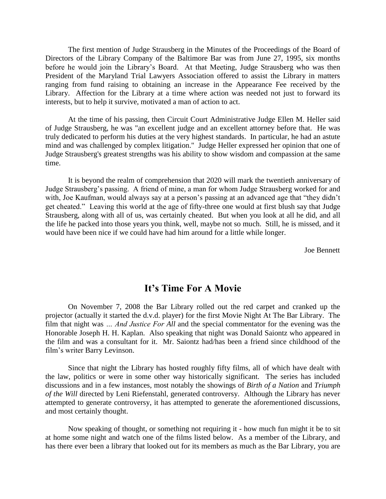The first mention of Judge Strausberg in the Minutes of the Proceedings of the Board of Directors of the Library Company of the Baltimore Bar was from June 27, 1995, six months before he would join the Library's Board. At that Meeting, Judge Strausberg who was then President of the Maryland Trial Lawyers Association offered to assist the Library in matters ranging from fund raising to obtaining an increase in the Appearance Fee received by the Library. Affection for the Library at a time where action was needed not just to forward its interests, but to help it survive, motivated a man of action to act.

At the time of his passing, then Circuit Court Administrative Judge Ellen M. Heller said of Judge Strausberg, he was "an excellent judge and an excellent attorney before that. He was truly dedicated to perform his duties at the very highest standards. In particular, he had an astute mind and was challenged by complex litigation." Judge Heller expressed her opinion that one of Judge Strausberg's greatest strengths was his ability to show wisdom and compassion at the same time.

It is beyond the realm of comprehension that 2020 will mark the twentieth anniversary of Judge Strausberg's passing. A friend of mine, a man for whom Judge Strausberg worked for and with, Joe Kaufman, would always say at a person's passing at an advanced age that "they didn't get cheated." Leaving this world at the age of fifty-three one would at first blush say that Judge Strausberg, along with all of us, was certainly cheated. But when you look at all he did, and all the life he packed into those years you think, well, maybe not so much. Still, he is missed, and it would have been nice if we could have had him around for a little while longer.

Joe Bennett

#### **It's Time For A Movie**

On November 7, 2008 the Bar Library rolled out the red carpet and cranked up the projector (actually it started the d.v.d. player) for the first Movie Night At The Bar Library. The film that night was *… And Justice For All* and the special commentator for the evening was the Honorable Joseph H. H. Kaplan. Also speaking that night was Donald Saiontz who appeared in the film and was a consultant for it. Mr. Saiontz had/has been a friend since childhood of the film's writer Barry Levinson.

Since that night the Library has hosted roughly fifty films, all of which have dealt with the law, politics or were in some other way historically significant. The series has included discussions and in a few instances, most notably the showings of *Birth of a Nation* and *Triumph of the Will* directed by Leni Riefenstahl, generated controversy. Although the Library has never attempted to generate controversy, it has attempted to generate the aforementioned discussions, and most certainly thought.

Now speaking of thought, or something not requiring it - how much fun might it be to sit at home some night and watch one of the films listed below. As a member of the Library, and has there ever been a library that looked out for its members as much as the Bar Library, you are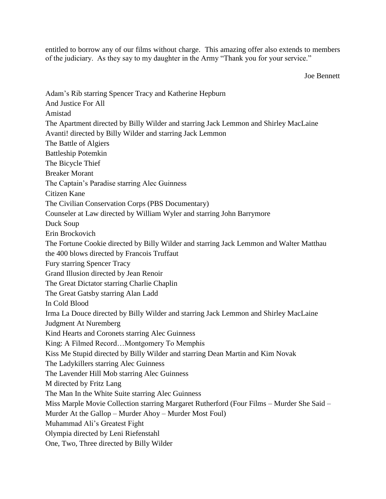entitled to borrow any of our films without charge. This amazing offer also extends to members of the judiciary. As they say to my daughter in the Army "Thank you for your service."

Joe Bennett

Adam's Rib starring Spencer Tracy and Katherine Hepburn And Justice For All Amistad The Apartment directed by Billy Wilder and starring Jack Lemmon and Shirley MacLaine Avanti! directed by Billy Wilder and starring Jack Lemmon The Battle of Algiers Battleship Potemkin The Bicycle Thief Breaker Morant The Captain's Paradise starring Alec Guinness Citizen Kane The Civilian Conservation Corps (PBS Documentary) Counseler at Law directed by William Wyler and starring John Barrymore Duck Soup Erin Brockovich The Fortune Cookie directed by Billy Wilder and starring Jack Lemmon and Walter Matthau the 400 blows directed by Francois Truffaut Fury starring Spencer Tracy Grand Illusion directed by Jean Renoir The Great Dictator starring Charlie Chaplin The Great Gatsby starring Alan Ladd In Cold Blood Irma La Douce directed by Billy Wilder and starring Jack Lemmon and Shirley MacLaine Judgment At Nuremberg Kind Hearts and Coronets starring Alec Guinness King: A Filmed Record…Montgomery To Memphis Kiss Me Stupid directed by Billy Wilder and starring Dean Martin and Kim Novak The Ladykillers starring Alec Guinness The Lavender Hill Mob starring Alec Guinness M directed by Fritz Lang The Man In the White Suite starring Alec Guinness Miss Marple Movie Collection starring Margaret Rutherford (Four Films – Murder She Said – Murder At the Gallop – Murder Ahoy – Murder Most Foul) Muhammad Ali's Greatest Fight Olympia directed by Leni Riefenstahl One, Two, Three directed by Billy Wilder